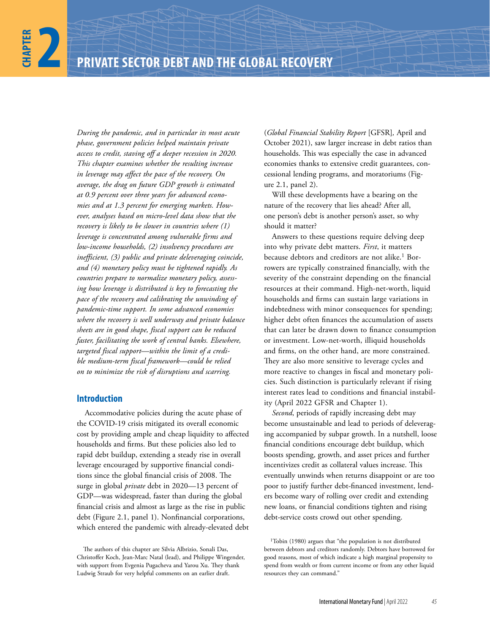*During the pandemic, and in particular its most acute phase, government policies helped maintain private access to credit, staving off a deeper recession in 2020. This chapter examines whether the resulting increase in leverage may affect the pace of the recovery. On average, the drag on future GDP growth is estimated at 0.9 percent over three years for advanced economies and at 1.3 percent for emerging markets. However, analyses based on micro-level data show that the recovery is likely to be slower in countries where (1) leverage is concentrated among vulnerable firms and low-income households, (2) insolvency procedures are inefficient, (3) public and private deleveraging coincide, and (4) monetary policy must be tightened rapidly. As countries prepare to normalize monetary policy, assessing how leverage is distributed is key to forecasting the pace of the recovery and calibrating the unwinding of pandemic-time support. In some advanced economies where the recovery is well underway and private balance sheets are in good shape, fiscal support can be reduced faster, facilitating the work of central banks. Elsewhere, targeted fiscal support—within the limit of a credible medium-term fiscal framework—could be relied on to minimize the risk of disruptions and scarring.*

# **Introduction**

Accommodative policies during the acute phase of the COVID-19 crisis mitigated its overall economic cost by providing ample and cheap liquidity to affected households and firms. But these policies also led to rapid debt buildup, extending a steady rise in overall leverage encouraged by supportive financial conditions since the global financial crisis of 2008. The surge in global *private* debt in 2020—13 percent of GDP—was widespread, faster than during the global financial crisis and almost as large as the rise in public debt (Figure 2.1, panel 1). Nonfinancial corporations, which entered the pandemic with already-elevated debt (*Global Financial Stability Report* [GFSR]*,* April and October 2021), saw larger increase in debt ratios than households. This was especially the case in advanced economies thanks to extensive credit guarantees, concessional lending programs, and moratoriums (Figure 2.1, panel 2).

Will these developments have a bearing on the nature of the recovery that lies ahead? After all, one person's debt is another person's asset, so why should it matter?

Answers to these questions require delving deep into why private debt matters. *First*, it matters because debtors and creditors are not alike.<sup>1</sup> Borrowers are typically constrained financially, with the severity of the constraint depending on the financial resources at their command. High-net-worth, liquid households and firms can sustain large variations in indebtedness with minor consequences for spending; higher debt often finances the accumulation of assets that can later be drawn down to finance consumption or investment. Low-net-worth, illiquid households and firms, on the other hand, are more constrained. They are also more sensitive to leverage cycles and more reactive to changes in fiscal and monetary policies. Such distinction is particularly relevant if rising interest rates lead to conditions and financial instability (April 2022 GFSR and Chapter 1).

*Second*, periods of rapidly increasing debt may become unsustainable and lead to periods of deleveraging accompanied by subpar growth. In a nutshell, loose financial conditions encourage debt buildup, which boosts spending, growth, and asset prices and further incentivizes credit as collateral values increase. This eventually unwinds when returns disappoint or are too poor to justify further debt-financed investment, lenders become wary of rolling over credit and extending new loans, or financial conditions tighten and rising debt-service costs crowd out other spending.

The authors of this chapter are Silvia Albrizio, Sonali Das, Christoffer Koch, Jean-Marc Natal (lead), and Philippe Wingender, with support from Evgenia Pugacheva and Yarou Xu. They thank Ludwig Straub for very helpful comments on an earlier draft.

<sup>1</sup>Tobin (1980) argues that "the population is not distributed between debtors and creditors randomly. Debtors have borrowed for good reasons, most of which indicate a high marginal propensity to spend from wealth or from current income or from any other liquid resources they can command."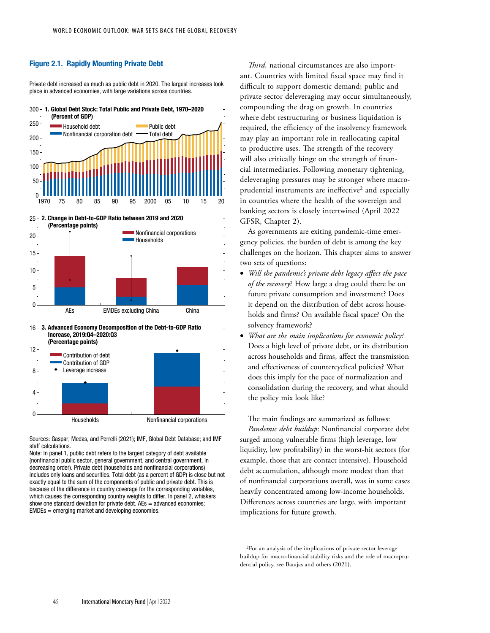# Figure 2.1. Rapidly Mounting Private Debt

Private debt increased as much as public debt in 2020. The largest increases took place in advanced economies, with large variations across countries.





AEs EMDEs excluding China China

16 3. Advanced Economy Decomposition of the Debt-to-GDP Ratio Increase, 2019:Q4–2020:Q3



Sources: Gaspar, Medas, and Perrelli (2021); IMF, Global Debt Database; and IMF staff calculations.

Note: In panel 1, public debt refers to the largest category of debt available (nonfinancial public sector, general government, and central government, in decreasing order). Private debt (households and nonfinancial corporations) includes only loans and securities. Total debt (as a percent of GDP) is close but not exactly equal to the sum of the components of public and private debt. This is because of the difference in country coverage for the corresponding variables, which causes the corresponding country weights to differ. In panel 2, whiskers show one standard deviation for private debt.  $AEs =$  advanced economies; EMDEs = emerging market and developing economies.

*Third,* national circumstances are also important. Countries with limited fiscal space may find it difficult to support domestic demand; public and private sector deleveraging may occur simultaneously, compounding the drag on growth. In countries where debt restructuring or business liquidation is required, the efficiency of the insolvency framework may play an important role in reallocating capital to productive uses. The strength of the recovery will also critically hinge on the strength of financial intermediaries. Following monetary tightening, deleveraging pressures may be stronger where macroprudential instruments are ineffective<sup>2</sup> and especially in countries where the health of the sovereign and banking sectors is closely intertwined (April 2022 GFSR, Chapter 2).

As governments are exiting pandemic-time emergency policies, the burden of debt is among the key challenges on the horizon. This chapter aims to answer two sets of questions:

- *Will the pandemic's private debt legacy affect the pace of the recovery*? How large a drag could there be on future private consumption and investment? Does it depend on the distribution of debt across households and firms? On available fiscal space? On the solvency framework?
- *What are the main implications for economic policy?*  Does a high level of private debt, or its distribution across households and firms, affect the transmission and effectiveness of countercyclical policies? What does this imply for the pace of normalization and consolidation during the recovery, and what should the policy mix look like?

The main findings are summarized as follows: *Pandemic debt buildup*: Nonfinancial corporate debt surged among vulnerable firms (high leverage, low liquidity, low profitability) in the worst-hit sectors (for example, those that are contact intensive). Household debt accumulation, although more modest than that of nonfinancial corporations overall, was in some cases heavily concentrated among low-income households. Differences across countries are large, with important implications for future growth.

2For an analysis of the implications of private sector leverage buildup for macro-financial stability risks and the role of macroprudential policy, see Barajas and others (2021).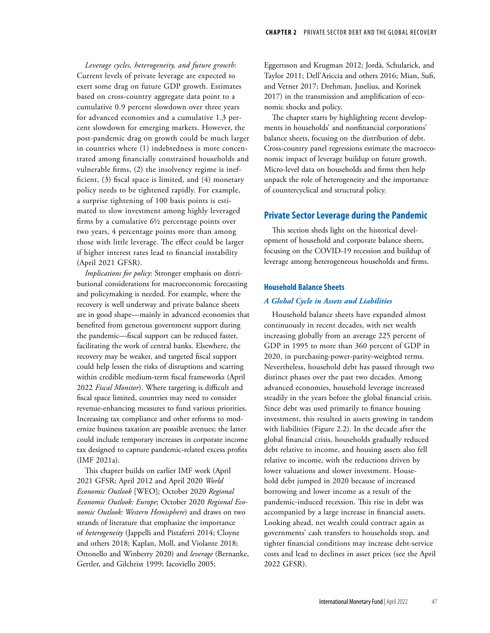*Leverage cycles, heterogeneity, and future growth*: Current levels of private leverage are expected to exert some drag on future GDP growth. Estimates based on cross-country aggregate data point to a cumulative 0.9 percent slowdown over three years for advanced economies and a cumulative 1.3 percent slowdown for emerging markets. However, the post-pandemic drag on growth could be much larger in countries where (1) indebtedness is more concentrated among financially constrained households and vulnerable firms, (2) the insolvency regime is inefficient, (3) fiscal space is limited, and (4) monetary policy needs to be tightened rapidly. For example, a surprise tightening of 100 basis points is estimated to slow investment among highly leveraged firms by a cumulative 6½ percentage points over two years, 4 percentage points more than among those with little leverage. The effect could be larger if higher interest rates lead to financial instability (April 2021 GFSR).

*Implications for policy*: Stronger emphasis on distributional considerations for macroeconomic forecasting and policymaking is needed. For example, where the recovery is well underway and private balance sheets are in good shape—mainly in advanced economies that benefited from generous government support during the pandemic—fiscal support can be reduced faster, facilitating the work of central banks. Elsewhere, the recovery may be weaker, and targeted fiscal support could help lessen the risks of disruptions and scarring within credible medium-term fiscal frameworks (April 2022 *Fiscal Monitor*). Where targeting is difficult and fiscal space limited, countries may need to consider revenue-enhancing measures to fund various priorities. Increasing tax compliance and other reforms to modernize business taxation are possible avenues; the latter could include temporary increases in corporate income tax designed to capture pandemic-related excess profits (IMF 2021a).

This chapter builds on earlier IMF work (April 2021 GFSR; April 2012 and April 2020 *World Economic Outlook* [WEO]; October 2020 *Regional Economic Outlook: Europe*; October 2020 *Regional Economic Outlook: Western Hemisphere*) and draws on two strands of literature that emphasize the importance of *heterogeneity* (Jappelli and Pistaferri 2014; Cloyne and others 2018; Kaplan, Moll, and Violante 2018; Ottonello and Winberry 2020) and *leverage* (Bernanke, Gertler, and Gilchrist 1999; Iacoviello 2005;

Eggertsson and Krugman 2012; Jordà, Schularick, and Taylor 2011; Dell'Ariccia and others 2016; Mian, Sufi, and Verner 2017; Drehman, Juselius, and Korinek 2017) in the transmission and amplification of economic shocks and policy.

The chapter starts by highlighting recent developments in households' and nonfinancial corporations' balance sheets, focusing on the distribution of debt. Cross-country panel regressions estimate the macroeconomic impact of leverage buildup on future growth. Micro-level data on households and firms then help unpack the role of heterogeneity and the importance of countercyclical and structural policy.

# **Private Sector Leverage during the Pandemic**

This section sheds light on the historical development of household and corporate balance sheets, focusing on the COVID-19 recession and buildup of leverage among heterogeneous households and firms.

### **Household Balance Sheets**

#### *A Global Cycle in Assets and Liabilities*

Household balance sheets have expanded almost continuously in recent decades, with net wealth increasing globally from an average 225 percent of GDP in 1995 to more than 360 percent of GDP in 2020, in purchasing-power-parity-weighted terms. Nevertheless, household debt has passed through two distinct phases over the past two decades. Among advanced economies, household leverage increased steadily in the years before the global financial crisis. Since debt was used primarily to finance housing investment, this resulted in assets growing in tandem with liabilities (Figure 2.2). In the decade after the global financial crisis, households gradually reduced debt relative to income, and housing assets also fell relative to income, with the reductions driven by lower valuations and slower investment. Household debt jumped in 2020 because of increased borrowing and lower income as a result of the pandemic-induced recession. This rise in debt was accompanied by a large increase in financial assets. Looking ahead, net wealth could contract again as governments' cash transfers to households stop, and tighter financial conditions may increase debt-service costs and lead to declines in asset prices (see the April 2022 GFSR).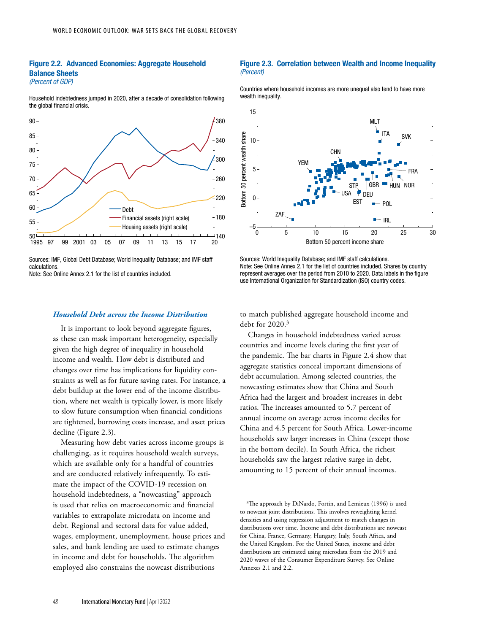### Figure 2.2. Advanced Economies: Aggregate Household Balance Sheets *(Percent of GDP)*

Household indebtedness jumped in 2020, after a decade of consolidation following the global financial crisis.



Sources: IMF, Global Debt Database; World Inequality Database; and IMF staff calculations.

Note: See Online Annex 2.1 for the list of countries included.

### *Household Debt across the Income Distribution*

It is important to look beyond aggregate figures, as these can mask important heterogeneity, especially given the high degree of inequality in household income and wealth. How debt is distributed and changes over time has implications for liquidity constraints as well as for future saving rates. For instance, a debt buildup at the lower end of the income distribution, where net wealth is typically lower, is more likely to slow future consumption when financial conditions are tightened, borrowing costs increase, and asset prices decline (Figure 2.3).

Measuring how debt varies across income groups is challenging, as it requires household wealth surveys, which are available only for a handful of countries and are conducted relatively infrequently. To estimate the impact of the COVID-19 recession on household indebtedness, a "nowcasting" approach is used that relies on macroeconomic and financial variables to extrapolate microdata on income and debt. Regional and sectoral data for value added, wages, employment, unemployment, house prices and sales, and bank lending are used to estimate changes in income and debt for households. The algorithm employed also constrains the nowcast distributions

#### Figure 2.3. Correlation between Wealth and Income Inequality *(Percent)*

Countries where household incomes are more unequal also tend to have more wealth inequality.



Sources: World Inequality Database; and IMF staff calculations. Note: See Online Annex 2.1 for the list of countries included. Shares by country represent averages over the period from 2010 to 2020. Data labels in the figure use International Organization for Standardization (ISO) country codes.

to match published aggregate household income and debt for 2020.3

Changes in household indebtedness varied across countries and income levels during the first year of the pandemic. The bar charts in Figure 2.4 show that aggregate statistics conceal important dimensions of debt accumulation. Among selected countries, the nowcasting estimates show that China and South Africa had the largest and broadest increases in debt ratios. The increases amounted to 5.7 percent of annual income on average across income deciles for China and 4.5 percent for South Africa. Lower-income households saw larger increases in China (except those in the bottom decile). In South Africa, the richest households saw the largest relative surge in debt, amounting to 15 percent of their annual incomes.

<sup>&</sup>lt;sup>3</sup>The approach by DiNardo, Fortin, and Lemieux (1996) is used to nowcast joint distributions. This involves reweighting kernel densities and using regression adjustment to match changes in distributions over time. Income and debt distributions are nowcast for China, France, Germany, Hungary, Italy, South Africa, and the United Kingdom. For the United States, income and debt distributions are estimated using microdata from the 2019 and 2020 waves of the Consumer Expenditure Survey. See Online Annexes 2.1 and 2.2.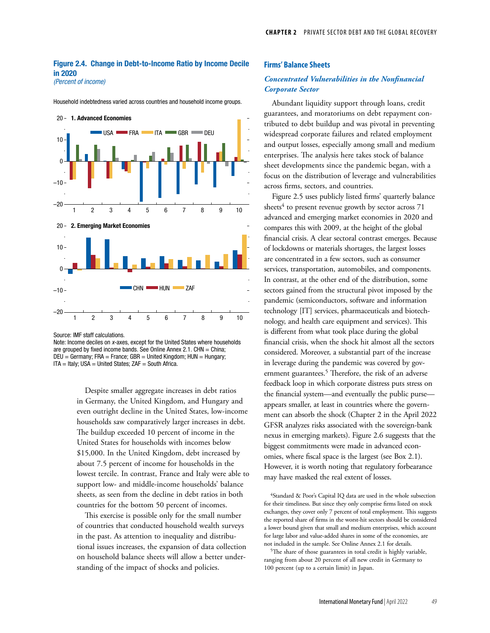# Figure 2.4. Change in Debt-to-Income Ratio by Income Decile in 2020

*(Percent of income)*

Household indebtedness varied across countries and household income groups.



Source: IMF staff calculations.

Note: Income deciles on *x*-axes, except for the United States where households are grouped by fixed income bands. See Online Annex 2.1. CHN  $=$  China;  $DEU = Germany$ ; FRA = France; GBR = United Kingdom; HUN = Hungary; ITA = Italy; USA = United States; ZAF = South Africa.

> Despite smaller aggregate increases in debt ratios in Germany, the United Kingdom, and Hungary and even outright decline in the United States, low-income households saw comparatively larger increases in debt. The buildup exceeded 10 percent of income in the United States for households with incomes below \$15,000. In the United Kingdom, debt increased by about 7.5 percent of income for households in the lowest tercile. In contrast, France and Italy were able to support low- and middle-income households' balance sheets, as seen from the decline in debt ratios in both countries for the bottom 50 percent of incomes.

This exercise is possible only for the small number of countries that conducted household wealth surveys in the past. As attention to inequality and distributional issues increases, the expansion of data collection on household balance sheets will allow a better understanding of the impact of shocks and policies.

## **Firms' Balance Sheets**

# *Concentrated Vulnerabilities in the Nonfinancial Corporate Sector*

Abundant liquidity support through loans, credit guarantees, and moratoriums on debt repayment contributed to debt buildup and was pivotal in preventing widespread corporate failures and related employment and output losses, especially among small and medium enterprises. The analysis here takes stock of balance sheet developments since the pandemic began, with a focus on the distribution of leverage and vulnerabilities across firms, sectors, and countries.

Figure 2.5 uses publicly listed firms' quarterly balance sheets $4$  to present revenue growth by sector across  $71$ advanced and emerging market economies in 2020 and compares this with 2009, at the height of the global financial crisis. A clear sectoral contrast emerges. Because of lockdowns or materials shortages, the largest losses are concentrated in a few sectors, such as consumer services, transportation, automobiles, and components. In contrast, at the other end of the distribution, some sectors gained from the structural pivot imposed by the pandemic (semiconductors, software and information technology [IT] services, pharmaceuticals and biotechnology, and health care equipment and services). This is different from what took place during the global financial crisis, when the shock hit almost all the sectors considered. Moreover, a substantial part of the increase in leverage during the pandemic was covered by government guarantees.<sup>5</sup> Therefore, the risk of an adverse feedback loop in which corporate distress puts stress on the financial system—and eventually the public purse appears smaller, at least in countries where the government can absorb the shock (Chapter 2 in the April 2022 GFSR analyzes risks associated with the sovereign-bank nexus in emerging markets). Figure 2.6 suggests that the biggest commitments were made in advanced economies, where fiscal space is the largest (see Box 2.1). However, it is worth noting that regulatory forbearance may have masked the real extent of losses.

4Standard & Poor's Capital IQ data are used in the whole subsection for their timeliness. But since they only comprise firms listed on stock exchanges, they cover only 7 percent of total employment. This suggests the reported share of firms in the worst-hit sectors should be considered a lower bound given that small and medium enterprises, which account for large labor and value-added shares in some of the economies, are not included in the sample. See Online Annex 2.1 for details.

5The share of those guarantees in total credit is highly variable, ranging from about 20 percent of all new credit in Germany to 100 percent (up to a certain limit) in Japan.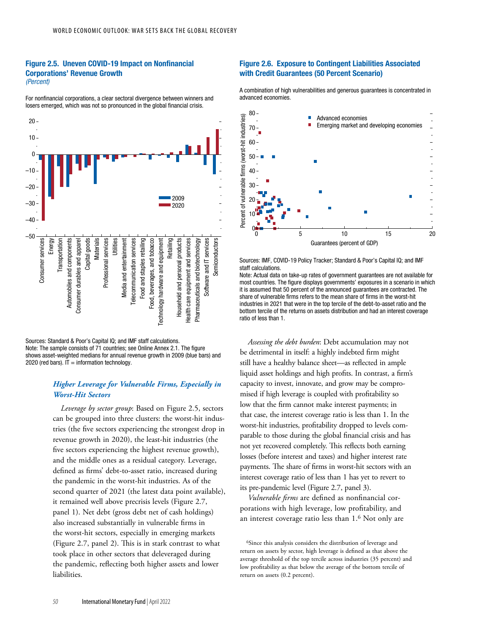### Figure 2.5. Uneven COVID-19 Impact on Nonfinancial Corporations' Revenue Growth *(Percent)*

For nonfinancial corporations, a clear sectoral divergence between winners and losers emerged, which was not so pronounced in the global financial crisis.



Sources: Standard & Poor's Capital IQ; and IMF staff calculations. Note: The sample consists of 71 countries; see Online Annex 2.1. The figure shows asset-weighted medians for annual revenue growth in 2009 (blue bars) and 2020 (red bars).  $IT = information technology$ .

# *Higher Leverage for Vulnerable Firms, Especially in Worst-Hit Sectors*

*Leverage by sector group*: Based on Figure 2.5, sectors can be grouped into three clusters: the worst-hit industries (the five sectors experiencing the strongest drop in revenue growth in 2020), the least-hit industries (the five sectors experiencing the highest revenue growth), and the middle ones as a residual category. Leverage, defined as firms' debt-to-asset ratio, increased during the pandemic in the worst-hit industries. As of the second quarter of 2021 (the latest data point available), it remained well above precrisis levels (Figure 2.7, panel 1). Net debt (gross debt net of cash holdings) also increased substantially in vulnerable firms in the worst-hit sectors, especially in emerging markets (Figure 2.7, panel 2). This is in stark contrast to what took place in other sectors that deleveraged during the pandemic, reflecting both higher assets and lower liabilities.

### Figure 2.6. Exposure to Contingent Liabilities Associated with Credit Guarantees (50 Percent Scenario)

A combination of high vulnerabilities and generous guarantees is concentrated in advanced economies.



Sources: IMF, COVID-19 Policy Tracker; Standard & Poor's Capital IQ; and IMF staff calculations.



*Assessing the debt burden*: Debt accumulation may not be detrimental in itself: a highly indebted firm might still have a healthy balance sheet—as reflected in ample liquid asset holdings and high profits. In contrast, a firm's capacity to invest, innovate, and grow may be compromised if high leverage is coupled with profitability so low that the firm cannot make interest payments; in that case, the interest coverage ratio is less than 1. In the worst-hit industries, profitability dropped to levels comparable to those during the global financial crisis and has not yet recovered completely. This reflects both earning losses (before interest and taxes) and higher interest rate payments. The share of firms in worst-hit sectors with an interest coverage ratio of less than 1 has yet to revert to its pre-pandemic level (Figure 2.7, panel 3).

*Vulnerable firms* are defined as nonfinancial corporations with high leverage, low profitability, and an interest coverage ratio less than 1.6 Not only are

<sup>&</sup>lt;sup>6</sup>Since this analysis considers the distribution of leverage and return on assets by sector, high leverage is defined as that above the average threshold of the top tercile across industries (35 percent) and low profitability as that below the average of the bottom tercile of return on assets (0.2 percent).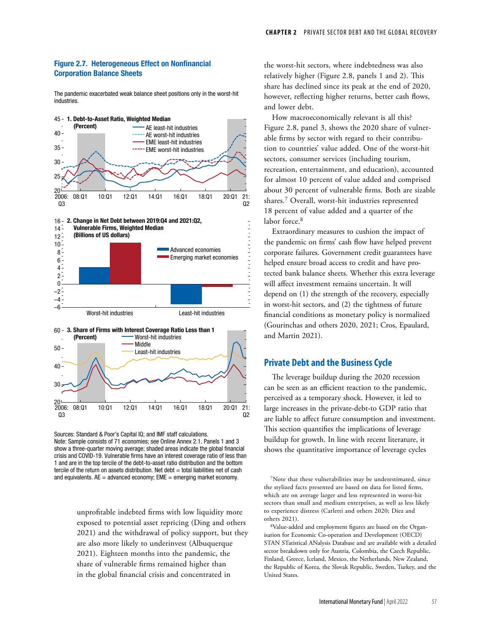# Figure 2.7. Heterogeneous Effect on Nonfinancial Corporation Balance Sheets

The pandemic exacerbated weak balance sheet positions only in the worst-hit industries.



Sources: Standard & Poor's Capital IQ; and IMF staff calculations. Note: Sample consists of 71 economies; see Online Annex 2.1. Panels 1 and 3 show a three-quarter moving average; shaded areas indicate the global financial crisis and COVID-19. Vulnerable firms have an interest coverage ratio of less than 1 and are in the top tercile of the debt-to-asset ratio distribution and the bottom tercile of the return on assets distribution. Net debt = total liabilities net of cash and equivalents.  $AE =$  advanced economy;  $EME =$  emerging market economy.

unprofitable indebted firms with low liquidity more exposed to potential asset repricing (Ding and others 2021) and the withdrawal of policy support, but they are also more likely to underinvest (Albuquerque 2021). Eighteen months into the pandemic, the share of vulnerable firms remained higher than in the global financial crisis and concentrated in

the worst-hit sectors, where indebtedness was also relatively higher (Figure 2.8, panels 1 and 2). This share has declined since its peak at the end of 2020, however, reflecting higher returns, better cash flows, and lower debt.

How macroeconomically relevant is all this? Figure 2.8, panel 3, shows the 2020 share of vulnerable firms by sector with regard to their contribution to countries' value added. One of the worst-hit sectors, consumer services (including tourism, recreation, entertainment, and education), accounted for almost 10 percent of value added and comprised about 30 percent of vulnerable firms. Both are sizable shares.7 Overall, worst-hit industries represented 18 percent of value added and a quarter of the labor force.<sup>8</sup>

Extraordinary measures to cushion the impact of the pandemic on firms' cash flow have helped prevent corporate failures. Government credit guarantees have helped ensure broad access to credit and have protected bank balance sheets. Whether this extra leverage will affect investment remains uncertain. It will depend on (1) the strength of the recovery, especially in worst-hit sectors, and (2) the tightness of future financial conditions as monetary policy is normalized (Gourinchas and others 2020, 2021; Cros, Epaulard, and Martin 2021).

# **Private Debt and the Business Cycle**

The leverage buildup during the 2020 recession can be seen as an efficient reaction to the pandemic, perceived as a temporary shock. However, it led to large increases in the private-debt-to GDP ratio that are liable to affect future consumption and investment. This section quantifies the implications of leverage buildup for growth. In line with recent literature, it shows the quantitative importance of leverage cycles

7Note that these vulnerabilities may be underestimated, since the stylized facts presented are based on data for listed firms, which are on average larger and less represented in worst-hit sectors than small and medium enterprises, as well as less likely to experience distress (Carletti and others 2020; Díez and others 2021).

8Value-added and employment figures are based on the Organisation for Economic Co-operation and Development (OECD) STAN STatistical ANalysis Database and are available with a detailed sector breakdown only for Austria, Colombia, the Czech Republic, Finland, Greece, Iceland, Mexico, the Netherlands, New Zealand, the Republic of Korea, the Slovak Republic, Sweden, Turkey, and the United States.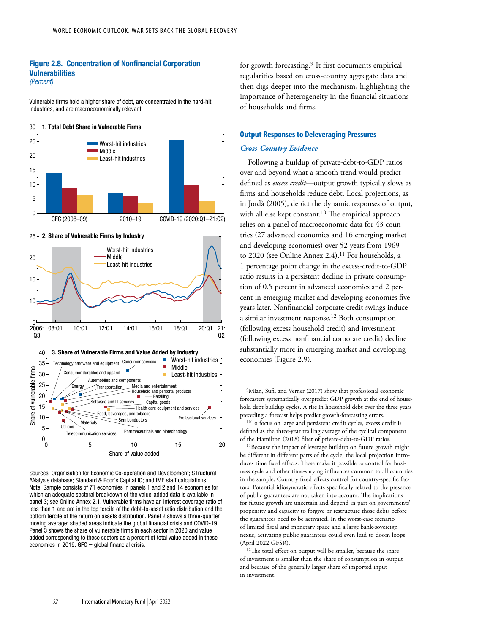#### Figure 2.8. Concentration of Nonfinancial Corporation Vulnerabilities *(Percent)*

Vulnerable firms hold a higher share of debt, are concentrated in the hard-hit industries, and are macroeconomically relevant.



25 - 2. Share of Vulnerable Firms by Industry



Sources: Organisation for Economic Co-operation and Development; STructural ANalysis database; Standard & Poor's Capital IQ; and IMF staff calculations. Note: Sample consists of 71 economies in panels 1 and 2 and 14 economies for which an adequate sectoral breakdown of the value-added data is available in panel 3; see Online Annex 2.1. Vulnerable firms have an interest coverage ratio of less than 1 and are in the top tercile of the debt-to-asset ratio distribution and the bottom tercile of the return on assets distribution. Panel 2 shows a three-quarter moving average; shaded areas indicate the global financial crisis and COVID-19. Panel 3 shows the share of vulnerable firms in each sector in 2020 and value added corresponding to these sectors as a percent of total value added in these economies in 2019.  $GFC = global$  financial crisis.

for growth forecasting.9 It first documents empirical regularities based on cross-country aggregate data and then digs deeper into the mechanism, highlighting the importance of heterogeneity in the financial situations of households and firms.

## **Output Responses to Deleveraging Pressures**

#### *Cross-Country Evidence*

Following a buildup of private-debt-to-GDP ratios over and beyond what a smooth trend would predict defined as *excess credit*—output growth typically slows as firms and households reduce debt. Local projections, as in Jordà (2005), depict the dynamic responses of output, with all else kept constant.<sup>10</sup> The empirical approach relies on a panel of macroeconomic data for 43 countries (27 advanced economies and 16 emerging market and developing economies) over 52 years from 1969 to 2020 (see Online Annex 2.4).<sup>11</sup> For households, a 1 percentage point change in the excess-credit-to-GDP ratio results in a persistent decline in private consumption of 0.5 percent in advanced economies and 2 percent in emerging market and developing economies five years later. Nonfinancial corporate credit swings induce a similar investment response.12 Both consumption (following excess household credit) and investment (following excess nonfinancial corporate credit) decline substantially more in emerging market and developing economies (Figure 2.9).

<sup>9</sup>Mian, Sufi, and Verner (2017) show that professional economic forecasters systematically overpredict GDP growth at the end of household debt buildup cycles. A rise in household debt over the three years preceding a forecast helps predict growth-forecasting errors. 10To focus on large and persistent credit cycles, excess credit is defined as the three-year trailing average of the cyclical component of the Hamilton (2018) filter of private-debt-to-GDP ratios.

<sup>11</sup>Because the impact of leverage buildup on future growth might be different in different parts of the cycle, the local projection introduces time fixed effects. These make it possible to control for business cycle and other time-varying influences common to all countries in the sample. Country fixed effects control for country-specific factors. Potential idiosyncratic effects specifically related to the presence of public guarantees are not taken into account. The implications for future growth are uncertain and depend in part on governments' propensity and capacity to forgive or restructure those debts before the guarantees need to be activated. In the worst-case scenario of limited fiscal and monetary space and a large bank-sovereign nexus, activating public guarantees could even lead to doom loops (April 2022 GFSR).

<sup>12</sup>The total effect on output will be smaller, because the share of investment is smaller than the share of consumption in output and because of the generally larger share of imported input in investment.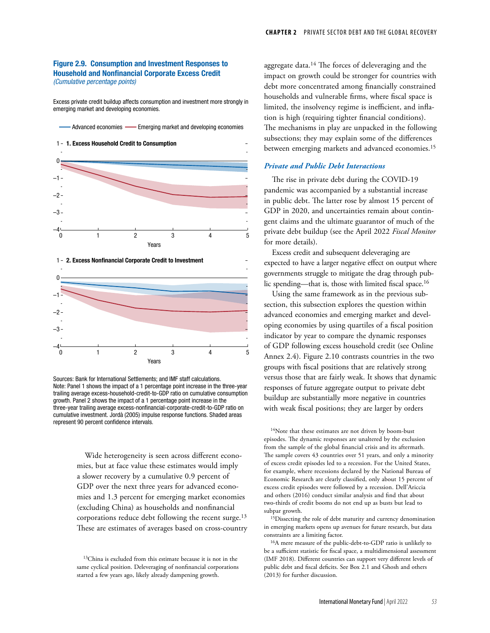## Figure 2.9. Consumption and Investment Responses to Household and Nonfinancial Corporate Excess Credit *(Cumulative percentage points)*

Excess private credit buildup affects consumption and investment more strongly in emerging market and developing economies.

![](_page_8_Figure_3.jpeg)

Advanced economies - Emerging market and developing economies

![](_page_8_Figure_5.jpeg)

![](_page_8_Figure_6.jpeg)

Sources: Bank for International Settlements; and IMF staff calculations. Note: Panel 1 shows the impact of a 1 percentage point increase in the three-year trailing average excess-household-credit-to-GDP ratio on cumulative consumption growth. Panel 2 shows the impact of a 1 percentage point increase in the three-year trailing average excess-nonfinancial-corporate-credit-to-GDP ratio on cumulative investment. Jordà (2005) impulse response functions. Shaded areas represent 90 percent confidence intervals.

> Wide heterogeneity is seen across different economies, but at face value these estimates would imply a slower recovery by a cumulative 0.9 percent of GDP over the next three years for advanced economies and 1.3 percent for emerging market economies (excluding China) as households and nonfinancial corporations reduce debt following the recent surge.<sup>13</sup> These are estimates of averages based on cross-country

13China is excluded from this estimate because it is not in the same cyclical position. Deleveraging of nonfinancial corporations started a few years ago, likely already dampening growth.

aggregate data.14 The forces of deleveraging and the impact on growth could be stronger for countries with debt more concentrated among financially constrained households and vulnerable firms, where fiscal space is limited, the insolvency regime is inefficient, and inflation is high (requiring tighter financial conditions). The mechanisms in play are unpacked in the following subsections; they may explain some of the differences between emerging markets and advanced economies.<sup>15</sup>

#### *Private and Public Debt Interactions*

The rise in private debt during the COVID-19 pandemic was accompanied by a substantial increase in public debt. The latter rose by almost 15 percent of GDP in 2020, and uncertainties remain about contingent claims and the ultimate guarantor of much of the private debt buildup (see the April 2022 *Fiscal Monitor* for more details).

Excess credit and subsequent deleveraging are expected to have a larger negative effect on output where governments struggle to mitigate the drag through public spending—that is, those with limited fiscal space.<sup>16</sup>

Using the same framework as in the previous subsection, this subsection explores the question within advanced economies and emerging market and developing economies by using quartiles of a fiscal position indicator by year to compare the dynamic responses of GDP following excess household credit (see Online Annex 2.4). Figure 2.10 contrasts countries in the two groups with fiscal positions that are relatively strong versus those that are fairly weak. It shows that dynamic responses of future aggregate output to private debt buildup are substantially more negative in countries with weak fiscal positions; they are larger by orders

<sup>14</sup>Note that these estimates are not driven by boom-bust episodes. The dynamic responses are unaltered by the exclusion from the sample of the global financial crisis and its aftermath. The sample covers 43 countries over 51 years, and only a minority of excess credit episodes led to a recession. For the United States, for example, where recessions declared by the National Bureau of Economic Research are clearly classified, only about 15 percent of excess credit episodes were followed by a recession. Dell'Ariccia and others (2016) conduct similar analysis and find that about two-thirds of credit booms do not end up as busts but lead to subpar growth.

<sup>15</sup>Dissecting the role of debt maturity and currency denomination in emerging markets opens up avenues for future research, but data constraints are a limiting factor.

16A mere measure of the public-debt-to-GDP ratio is unlikely to be a sufficient statistic for fiscal space, a multidimensional assessment (IMF 2018). Different countries can support very different levels of public debt and fiscal deficits. See Box 2.1 and Ghosh and others (2013) for further discussion.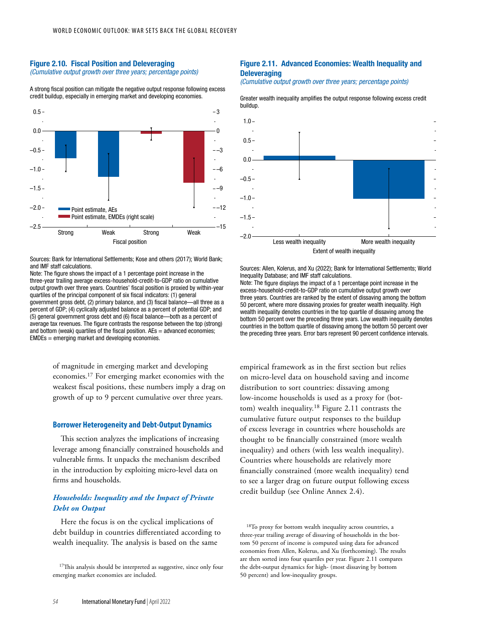#### Figure 2.10. Fiscal Position and Deleveraging *(Cumulative output growth over three years; percentage points)*

A strong fiscal position can mitigate the negative output response following excess credit buildup, especially in emerging market and developing economies.

![](_page_9_Figure_4.jpeg)

Sources: Bank for International Settlements; Kose and others (2017); World Bank; and IMF staff calculations.

Note: The figure shows the impact of a 1 percentage point increase in the three-year trailing average excess-household-credit-to-GDP ratio on cumulative output growth over three years. Countries' fiscal position is proxied by within-year quartiles of the principal component of six fiscal indicators: (1) general government gross debt, (2) primary balance, and (3) fiscal balance—all three as a percent of GDP; (4) cyclically adjusted balance as a percent of potential GDP; and (5) general government gross debt and (6) fiscal balance—both as a percent of average tax revenues. The figure contrasts the response between the top (strong) and bottom (weak) quartiles of the fiscal position.  $AEs =$  advanced economies; EMDEs = emerging market and developing economies.

> of magnitude in emerging market and developing economies.17 For emerging market economies with the weakest fiscal positions, these numbers imply a drag on growth of up to 9 percent cumulative over three years.

#### **Borrower Heterogeneity and Debt-Output Dynamics**

This section analyzes the implications of increasing leverage among financially constrained households and vulnerable firms. It unpacks the mechanism described in the introduction by exploiting micro-level data on firms and households.

# *Households: Inequality and the Impact of Private Debt on Output*

Here the focus is on the cyclical implications of debt buildup in countries differentiated according to wealth inequality. The analysis is based on the same

<sup>17</sup>This analysis should be interpreted as suggestive, since only four emerging market economies are included.

# Figure 2.11. Advanced Economies: Wealth Inequality and **Deleveraging**

*(Cumulative output growth over three years; percentage points)*

Greater wealth inequality amplifies the output response following excess credit buildup.

![](_page_9_Figure_16.jpeg)

Sources: Allen, Kolerus, and Xu (2022); Bank for International Settlements; World Inequality Database; and IMF staff calculations.

Note: The figure displays the impact of a 1 percentage point increase in the excess-household-credit-to-GDP ratio on cumulative output growth over three years. Countries are ranked by the extent of dissaving among the bottom 50 percent, where more dissaving proxies for greater wealth inequality. High wealth inequality denotes countries in the top quartile of dissaving among the bottom 50 percent over the preceding three years. Low wealth inequality denotes countries in the bottom quartile of dissaving among the bottom 50 percent over the preceding three years. Error bars represent 90 percent confidence intervals.

empirical framework as in the first section but relies on micro-level data on household saving and income distribution to sort countries: dissaving among low-income households is used as a proxy for (bottom) wealth inequality.18 Figure 2.11 contrasts the cumulative future output responses to the buildup of excess leverage in countries where households are thought to be financially constrained (more wealth inequality) and others (with less wealth inequality). Countries where households are relatively more financially constrained (more wealth inequality) tend to see a larger drag on future output following excess credit buildup (see Online Annex 2.4).

18To proxy for bottom wealth inequality across countries, a three-year trailing average of dissaving of households in the bottom 50 percent of income is computed using data for advanced economies from Allen, Kolerus, and Xu (forthcoming). The results are then sorted into four quartiles per year. Figure 2.11 compares the debt-output dynamics for high- (most dissaving by bottom 50 percent) and low-inequality groups.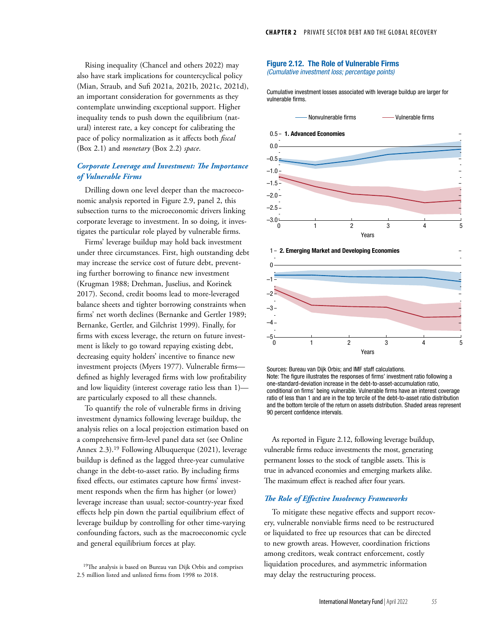Rising inequality (Chancel and others 2022) may also have stark implications for countercyclical policy (Mian, Straub, and Sufi 2021a, 2021b, 2021c, 2021d), an important consideration for governments as they contemplate unwinding exceptional support. Higher inequality tends to push down the equilibrium (natural) interest rate, a key concept for calibrating the pace of policy normalization as it affects both *fiscal* (Box 2.1) and *monetary* (Box 2.2) *space*.

# *Corporate Leverage and Investment: The Importance of Vulnerable Firms*

Drilling down one level deeper than the macroeconomic analysis reported in Figure 2.9, panel 2, this subsection turns to the microeconomic drivers linking corporate leverage to investment. In so doing, it investigates the particular role played by vulnerable firms.

Firms' leverage buildup may hold back investment under three circumstances. First, high outstanding debt may increase the service cost of future debt, preventing further borrowing to finance new investment (Krugman 1988; Drehman, Juselius, and Korinek 2017). Second, credit booms lead to more-leveraged balance sheets and tighter borrowing constraints when firms' net worth declines (Bernanke and Gertler 1989; Bernanke, Gertler, and Gilchrist 1999). Finally, for firms with excess leverage, the return on future investment is likely to go toward repaying existing debt, decreasing equity holders' incentive to finance new investment projects (Myers 1977). Vulnerable firms defined as highly leveraged firms with low profitability and low liquidity (interest coverage ratio less than 1) are particularly exposed to all these channels.

To quantify the role of vulnerable firms in driving investment dynamics following leverage buildup, the analysis relies on a local projection estimation based on a comprehensive firm-level panel data set (see Online Annex 2.3).<sup>19</sup> Following Albuquerque (2021), leverage buildup is defined as the lagged three-year cumulative change in the debt-to-asset ratio. By including firms fixed effects, our estimates capture how firms' investment responds when the firm has higher (or lower) leverage increase than usual; sector-country-year fixed effects help pin down the partial equilibrium effect of leverage buildup by controlling for other time-varying confounding factors, such as the macroeconomic cycle and general equilibrium forces at play.

<sup>19</sup>The analysis is based on Bureau van Dijk Orbis and comprises 2.5 million listed and unlisted firms from 1998 to 2018.

#### Figure 2.12. The Role of Vulnerable Firms *(Cumulative investment loss; percentage points)*

Cumulative investment losses associated with leverage buildup are larger for vulnerable firms.

![](_page_10_Figure_9.jpeg)

![](_page_10_Figure_10.jpeg)

Sources: Bureau van Dijk Orbis; and IMF staff calculations. Note: The figure illustrates the responses of firms' investment ratio following a one-standard-deviation increase in the debt-to-asset-accumulation ratio, conditional on firms' being vulnerable. Vulnerable firms have an interest coverage ratio of less than 1 and are in the top tercile of the debt-to-asset ratio distribution and the bottom tercile of the return on assets distribution. Shaded areas represent 90 percent confidence intervals.

As reported in Figure 2.12, following leverage buildup, vulnerable firms reduce investments the most, generating permanent losses to the stock of tangible assets. This is true in advanced economies and emerging markets alike. The maximum effect is reached after four years.

## *The Role of Effective Insolvency Frameworks*

To mitigate these negative effects and support recovery, vulnerable nonviable firms need to be restructured or liquidated to free up resources that can be directed to new growth areas. However, coordination frictions among creditors, weak contract enforcement, costly liquidation procedures, and asymmetric information may delay the restructuring process.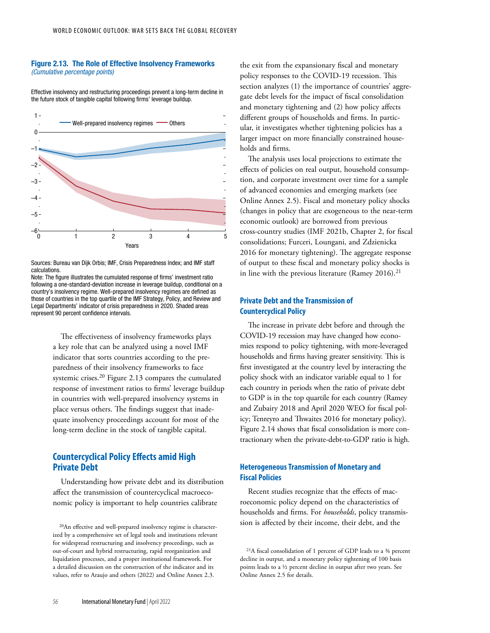#### Figure 2.13. The Role of Effective Insolvency Frameworks *(Cumulative percentage points)*

Effective insolvency and restructuring proceedings prevent a long-term decline in the future stock of tangible capital following firms' leverage buildup.

![](_page_11_Figure_3.jpeg)

Sources: Bureau van Dijk Orbis; IMF, Crisis Preparedness Index; and IMF staff calculations.

Note: The figure illustrates the cumulated response of firms' investment ratio following a one-standard-deviation increase in leverage buildup, conditional on a country's insolvency regime. Well-prepared insolvency regimes are defined as those of countries in the top quartile of the IMF Strategy, Policy, and Review and Legal Departments' indicator of crisis preparedness in 2020. Shaded areas represent 90 percent confidence intervals.

> The effectiveness of insolvency frameworks plays a key role that can be analyzed using a novel IMF indicator that sorts countries according to the preparedness of their insolvency frameworks to face systemic crises.20 Figure 2.13 compares the cumulated response of investment ratios to firms' leverage buildup in countries with well-prepared insolvency systems in place versus others. The findings suggest that inadequate insolvency proceedings account for most of the long-term decline in the stock of tangible capital.

# **Countercyclical Policy Effects amid High Private Debt**

Understanding how private debt and its distribution affect the transmission of countercyclical macroeconomic policy is important to help countries calibrate

the exit from the expansionary fiscal and monetary policy responses to the COVID-19 recession. This section analyzes (1) the importance of countries' aggregate debt levels for the impact of fiscal consolidation and monetary tightening and (2) how policy affects different groups of households and firms. In particular, it investigates whether tightening policies has a larger impact on more financially constrained households and firms.

The analysis uses local projections to estimate the effects of policies on real output, household consumption, and corporate investment over time for a sample of advanced economies and emerging markets (see Online Annex 2.5). Fiscal and monetary policy shocks (changes in policy that are exogeneous to the near-term economic outlook) are borrowed from previous cross-country studies (IMF 2021b, Chapter 2, for fiscal consolidations; Furceri, Loungani, and Zdzienicka 2016 for monetary tightening). The aggregate response of output to these fiscal and monetary policy shocks is in line with the previous literature (Ramey  $2016$ ).<sup>21</sup>

# **Private Debt and the Transmission of Countercyclical Policy**

The increase in private debt before and through the COVID-19 recession may have changed how economies respond to policy tightening, with more-leveraged households and firms having greater sensitivity. This is first investigated at the country level by interacting the policy shock with an indicator variable equal to 1 for each country in periods when the ratio of private debt to GDP is in the top quartile for each country (Ramey and Zubairy 2018 and April 2020 WEO for fiscal policy; Tenreyro and Thwaites 2016 for monetary policy). Figure 2.14 shows that fiscal consolidation is more contractionary when the private-debt-to-GDP ratio is high.

# **Heterogeneous Transmission of Monetary and Fiscal Policies**

Recent studies recognize that the effects of macroeconomic policy depend on the characteristics of households and firms. For *households*, policy transmission is affected by their income, their debt, and the

<sup>20</sup>An effective and well-prepared insolvency regime is characterized by a comprehensive set of legal tools and institutions relevant for widespread restructuring and insolvency proceedings, such as out-of-court and hybrid restructuring, rapid reorganization and liquidation processes, and a proper institutional framework. For a detailed discussion on the construction of the indicator and its values, refer to Araujo and others (2022) and Online Annex 2.3.

<sup>21</sup>A fiscal consolidation of 1 percent of GDP leads to a ¾ percent decline in output, and a monetary policy tightening of 100 basis points leads to a ½ percent decline in output after two years. See Online Annex 2.5 for details.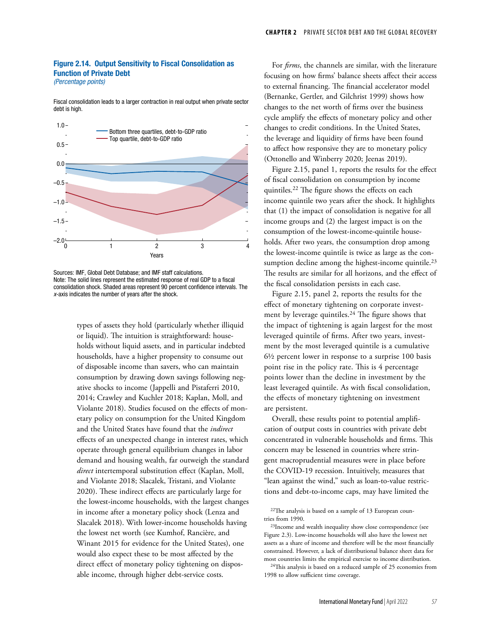# Figure 2.14. Output Sensitivity to Fiscal Consolidation as Function of Private Debt

*(Percentage points)*

Fiscal consolidation leads to a larger contraction in real output when private sector debt is high.

![](_page_12_Figure_4.jpeg)

Sources: IMF, Global Debt Database; and IMF staff calculations. Note: The solid lines represent the estimated response of real GDP to a fiscal consolidation shock. Shaded areas represent 90 percent confidence intervals. The *x*-axis indicates the number of years after the shock.

types of assets they hold (particularly whether illiquid or liquid). The intuition is straightforward: households without liquid assets, and in particular indebted households, have a higher propensity to consume out of disposable income than savers, who can maintain consumption by drawing down savings following negative shocks to income (Jappelli and Pistaferri 2010, 2014; Crawley and Kuchler 2018; Kaplan, Moll, and Violante 2018). Studies focused on the effects of monetary policy on consumption for the United Kingdom and the United States have found that the *indirect* effects of an unexpected change in interest rates, which operate through general equilibrium changes in labor demand and housing wealth, far outweigh the standard *direct* intertemporal substitution effect (Kaplan, Moll, and Violante 2018; Slacalek, Tristani, and Violante 2020). These indirect effects are particularly large for the lowest-income households, with the largest changes in income after a monetary policy shock (Lenza and Slacalek 2018). With lower-income households having the lowest net worth (see Kumhof, Rancière, and Winant 2015 for evidence for the United States), one would also expect these to be most affected by the direct effect of monetary policy tightening on disposable income, through higher debt-service costs.

For *firms*, the channels are similar, with the literature focusing on how firms' balance sheets affect their access to external financing. The financial accelerator model (Bernanke, Gertler, and Gilchrist 1999) shows how changes to the net worth of firms over the business cycle amplify the effects of monetary policy and other changes to credit conditions. In the United States, the leverage and liquidity of firms have been found to affect how responsive they are to monetary policy (Ottonello and Winberry 2020; Jeenas 2019).

Figure 2.15, panel 1, reports the results for the effect of fiscal consolidation on consumption by income quintiles.22 The figure shows the effects on each income quintile two years after the shock. It highlights that (1) the impact of consolidation is negative for all income groups and (2) the largest impact is on the consumption of the lowest-income-quintile households. After two years, the consumption drop among the lowest-income quintile is twice as large as the consumption decline among the highest-income quintile.<sup>23</sup> The results are similar for all horizons, and the effect of the fiscal consolidation persists in each case.

Figure 2.15, panel 2, reports the results for the effect of monetary tightening on corporate investment by leverage quintiles.<sup>24</sup> The figure shows that the impact of tightening is again largest for the most leveraged quintile of firms. After two years, investment by the most leveraged quintile is a cumulative 6½ percent lower in response to a surprise 100 basis point rise in the policy rate. This is 4 percentage points lower than the decline in investment by the least leveraged quintile. As with fiscal consolidation, the effects of monetary tightening on investment are persistent.

Overall, these results point to potential amplification of output costs in countries with private debt concentrated in vulnerable households and firms. This concern may be lessened in countries where stringent macroprudential measures were in place before the COVID-19 recession. Intuitively, measures that "lean against the wind," such as loan-to-value restrictions and debt-to-income caps, may have limited the

 $24$ This analysis is based on a reduced sample of 25 economies from 1998 to allow sufficient time coverage.

<sup>22</sup>The analysis is based on a sample of 13 European countries from 1990.

<sup>23</sup>Income and wealth inequality show close correspondence (see Figure 2.3). Low-income households will also have the lowest net assets as a share of income and therefore will be the most financially constrained. However, a lack of distributional balance sheet data for most countries limits the empirical exercise to income distribution.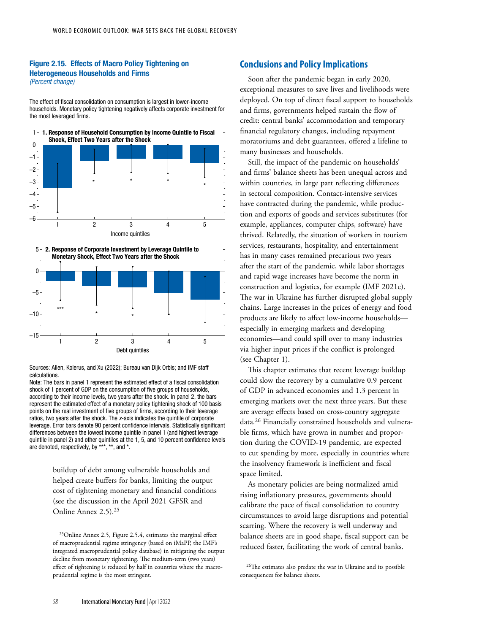### Figure 2.15. Effects of Macro Policy Tightening on Heterogeneous Households and Firms *(Percent change)*

The effect of fiscal consolidation on consumption is largest in lower-income households. Monetary policy tightening negatively affects corporate investment for the most leveraged firms.

![](_page_13_Figure_3.jpeg)

![](_page_13_Figure_4.jpeg)

Sources: Allen, Kolerus, and Xu (2022); Bureau van Dijk Orbis; and IMF staff calculations.

Note: The bars in panel 1 represent the estimated effect of a fiscal consolidation shock of 1 percent of GDP on the consumption of five groups of households, according to their income levels, two years after the shock. In panel 2, the bars represent the estimated effect of a monetary policy tightening shock of 100 basis points on the real investment of five groups of firms, according to their leverage ratios, two years after the shock. The *x*-axis indicates the quintile of corporate leverage. Error bars denote 90 percent confidence intervals. Statistically significant differences between the lowest income quintile in panel 1 (and highest leverage quintile in panel 2) and other quintiles at the 1, 5, and 10 percent confidence levels are denoted, respectively, by \*\*\*, \*\*, and \*.

> buildup of debt among vulnerable households and helped create buffers for banks, limiting the output cost of tightening monetary and financial conditions (see the discussion in the April 2021 GFSR and Online Annex 2.5).25

25Online Annex 2.5, Figure 2.5.4, estimates the marginal effect of macroprudential regime stringency (based on iMaPP, the IMF's integrated macroprudential policy database) in mitigating the output decline from monetary tightening. The medium-term (two years) effect of tightening is reduced by half in countries where the macroprudential regime is the most stringent.

# **Conclusions and Policy Implications**

Soon after the pandemic began in early 2020, exceptional measures to save lives and livelihoods were deployed. On top of direct fiscal support to households and firms, governments helped sustain the flow of credit: central banks' accommodation and temporary financial regulatory changes, including repayment moratoriums and debt guarantees, offered a lifeline to many businesses and households.

Still, the impact of the pandemic on households' and firms' balance sheets has been unequal across and within countries, in large part reflecting differences in sectoral composition. Contact-intensive services have contracted during the pandemic, while production and exports of goods and services substitutes (for example, appliances, computer chips, software) have thrived. Relatedly, the situation of workers in tourism services, restaurants, hospitality, and entertainment has in many cases remained precarious two years after the start of the pandemic, while labor shortages and rapid wage increases have become the norm in construction and logistics, for example (IMF 2021c). The war in Ukraine has further disrupted global supply chains. Large increases in the prices of energy and food products are likely to affect low-income households especially in emerging markets and developing economies—and could spill over to many industries via higher input prices if the conflict is prolonged (see Chapter 1).

This chapter estimates that recent leverage buildup could slow the recovery by a cumulative 0.9 percent of GDP in advanced economies and 1.3 percent in emerging markets over the next three years. But these are average effects based on cross-country aggregate data.26 Financially constrained households and vulnerable firms, which have grown in number and proportion during the COVID-19 pandemic, are expected to cut spending by more, especially in countries where the insolvency framework is inefficient and fiscal space limited.

As monetary policies are being normalized amid rising inflationary pressures, governments should calibrate the pace of fiscal consolidation to country circumstances to avoid large disruptions and potential scarring. Where the recovery is well underway and balance sheets are in good shape, fiscal support can be reduced faster, facilitating the work of central banks.

26The estimates also predate the war in Ukraine and its possible consequences for balance sheets.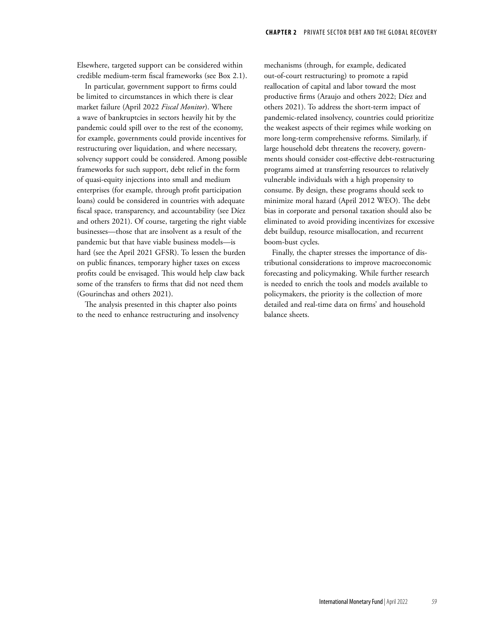Elsewhere, targeted support can be considered within credible medium-term fiscal frameworks (see Box 2.1).

In particular, government support to firms could be limited to circumstances in which there is clear market failure (April 2022 *Fiscal Monitor*). Where a wave of bankruptcies in sectors heavily hit by the pandemic could spill over to the rest of the economy, for example, governments could provide incentives for restructuring over liquidation, and where necessary, solvency support could be considered. Among possible frameworks for such support, debt relief in the form of quasi-equity injections into small and medium enterprises (for example, through profit participation loans) could be considered in countries with adequate fiscal space, transparency, and accountability (see Díez and others 2021). Of course, targeting the right viable businesses—those that are insolvent as a result of the pandemic but that have viable business models—is hard (see the April 2021 GFSR). To lessen the burden on public finances, temporary higher taxes on excess profits could be envisaged. This would help claw back some of the transfers to firms that did not need them (Gourinchas and others 2021).

The analysis presented in this chapter also points to the need to enhance restructuring and insolvency mechanisms (through, for example, dedicated out-of-court restructuring) to promote a rapid reallocation of capital and labor toward the most productive firms (Araujo and others 2022; Díez and others 2021). To address the short-term impact of pandemic-related insolvency, countries could prioritize the weakest aspects of their regimes while working on more long-term comprehensive reforms. Similarly, if large household debt threatens the recovery, governments should consider cost-effective debt-restructuring programs aimed at transferring resources to relatively vulnerable individuals with a high propensity to consume. By design, these programs should seek to minimize moral hazard (April 2012 WEO). The debt bias in corporate and personal taxation should also be eliminated to avoid providing incentivizes for excessive debt buildup, resource misallocation, and recurrent boom-bust cycles.

Finally, the chapter stresses the importance of distributional considerations to improve macroeconomic forecasting and policymaking. While further research is needed to enrich the tools and models available to policymakers, the priority is the collection of more detailed and real-time data on firms' and household balance sheets.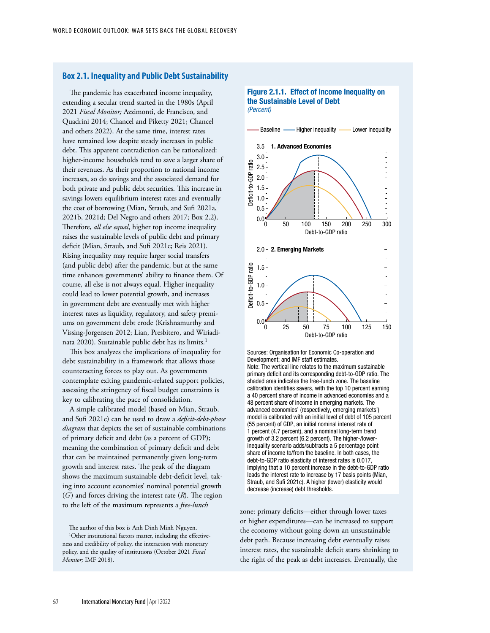## **Box 2.1. Inequality and Public Debt Sustainability**

The pandemic has exacerbated income inequality, extending a secular trend started in the 1980s (April 2021 *Fiscal Monitor;* Azzimonti, de Francisco, and Quadrini 2014; Chancel and Piketty 2021; Chancel and others 2022). At the same time, interest rates have remained low despite steady increases in public debt. This apparent contradiction can be rationalized: higher-income households tend to save a larger share of their revenues. As their proportion to national income increases, so do savings and the associated demand for both private and public debt securities. This increase in savings lowers equilibrium interest rates and eventually the cost of borrowing (Mian, Straub, and Sufi 2021a, 2021b, 2021d; Del Negro and others 2017; Box 2.2). Therefore, *all else equal*, higher top income inequality raises the sustainable levels of public debt and primary deficit (Mian, Straub, and Sufi 2021c; Reis 2021). Rising inequality may require larger social transfers (and public debt) after the pandemic, but at the same time enhances governments' ability to finance them. Of course, all else is not always equal. Higher inequality could lead to lower potential growth, and increases in government debt are eventually met with higher interest rates as liquidity, regulatory, and safety premiums on government debt erode (Krishnamurthy and Vissing-Jorgensen 2012; Lian, Presbitero, and Wiriadinata 2020). Sustainable public debt has its limits.<sup>1</sup>

This box analyzes the implications of inequality for debt sustainability in a framework that allows those counteracting forces to play out. As governments contemplate exiting pandemic-related support policies, assessing the stringency of fiscal budget constraints is key to calibrating the pace of consolidation.

A simple calibrated model (based on Mian, Straub, and Sufi 2021c) can be used to draw a *deficit-debt-phase diagram* that depicts the set of sustainable combinations of primary deficit and debt (as a percent of GDP); meaning the combination of primary deficit and debt that can be maintained permanently given long-term growth and interest rates. The peak of the diagram shows the maximum sustainable debt-deficit level, taking into account economies' nominal potential growth (*G*) and forces driving the interest rate (*R*). The region to the left of the maximum represents a *free-lunch*

The author of this box is Anh Dinh Minh Nguyen. <sup>1</sup>Other institutional factors matter, including the effectiveness and credibility of policy, the interaction with monetary policy, and the quality of institutions (October 2021 *Fiscal Monitor;* IMF 2018).

### Figure 2.1.1. Effect of Income Inequality on the Sustainable Level of Debt *(Percent)*

![](_page_15_Figure_7.jpeg)

Sources: Organisation for Economic Co-operation and Development; and IMF staff estimates. Note: The vertical line relates to the maximum sustainable primary deficit and its corresponding debt-to-GDP ratio. The shaded area indicates the free-lunch zone. The baseline calibration identifies savers, with the top 10 percent earning a 40 percent share of income in advanced economies and a 48 percent share of income in emerging markets. The advanced economies' (respectively, emerging markets') model is calibrated with an initial level of debt of 105 percent (55 percent) of GDP, an initial nominal interest rate of 1 percent (4.7 percent), and a nominal long-term trend growth of 3.2 percent (6.2 percent). The higher-/lowerinequality scenario adds/subtracts a 5 percentage point share of income to/from the baseline. In both cases, the debt-to-GDP ratio elasticity of interest rates is 0.017, implying that a 10 percent increase in the debt-to-GDP ratio leads the interest rate to increase by 17 basis points (Mian, Straub, and Sufi 2021c). A higher (lower) elasticity would decrease (increase) debt thresholds.

zone: primary deficits—either through lower taxes or higher expenditures—can be increased to support the economy without going down an unsustainable debt path. Because increasing debt eventually raises interest rates, the sustainable deficit starts shrinking to the right of the peak as debt increases. Eventually, the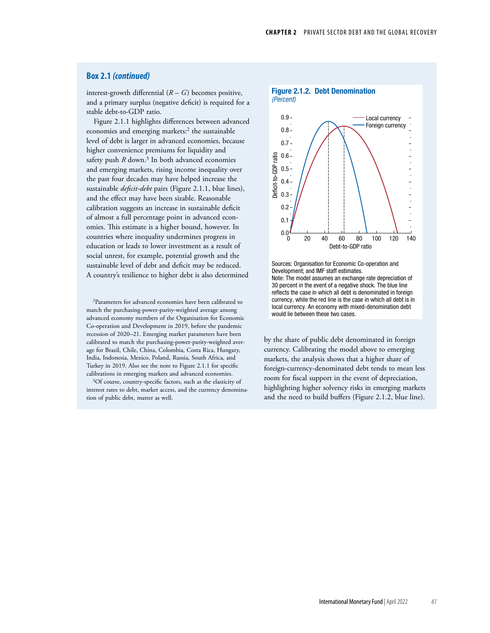## **Box 2.1** *(continued)*

interest-growth differential  $(R - G)$  becomes positive, and a primary surplus (negative deficit) is required for a stable debt-to-GDP ratio.

Figure 2.1.1 highlights differences between advanced economies and emerging markets:<sup>2</sup> the sustainable level of debt is larger in advanced economies, because higher convenience premiums for liquidity and safety push  $R$  down.<sup>3</sup> In both advanced economies and emerging markets, rising income inequality over the past four decades may have helped increase the sustainable *deficit-debt* pairs (Figure 2.1.1, blue lines), and the effect may have been sizable. Reasonable calibration suggests an increase in sustainable deficit of almost a full percentage point in advanced economies. This estimate is a higher bound, however. In countries where inequality undermines progress in education or leads to lower investment as a result of social unrest, for example, potential growth and the sustainable level of debt and deficit may be reduced. A country's resilience to higher debt is also determined

2Parameters for advanced economies have been calibrated to match the purchasing-power-parity-weighted average among advanced economy members of the Organisation for Economic Co-operation and Development in 2019, before the pandemic recession of 2020–21. Emerging market parameters have been calibrated to match the purchasing-power-parity-weighted average for Brazil, Chile, China, Colombia, Costa Rica, Hungary, India, Indonesia, Mexico, Poland, Russia, South Africa, and Turkey in 2019. Also see the note to Figure 2.1.1 for specific calibrations in emerging markets and advanced economies.

3Of course, country-specific factors, such as the elasticity of interest rates to debt, market access, and the currency denomination of public debt, matter as well.

![](_page_16_Figure_6.jpeg)

Sources: Organisation for Economic Co-operation and Development; and IMF staff estimates. Note: The model assumes an exchange rate depreciation of 30 percent in the event of a negative shock. The blue line reflects the case in which all debt is denominated in foreign currency, while the red line is the case in which all debt is in local currency. An economy with mixed-denomination debt would lie between these two cases.

by the share of public debt denominated in foreign currency. Calibrating the model above to emerging markets, the analysis shows that a higher share of foreign-currency-denominated debt tends to mean less room for fiscal support in the event of depreciation, highlighting higher solvency risks in emerging markets and the need to build buffers (Figure 2.1.2, blue line).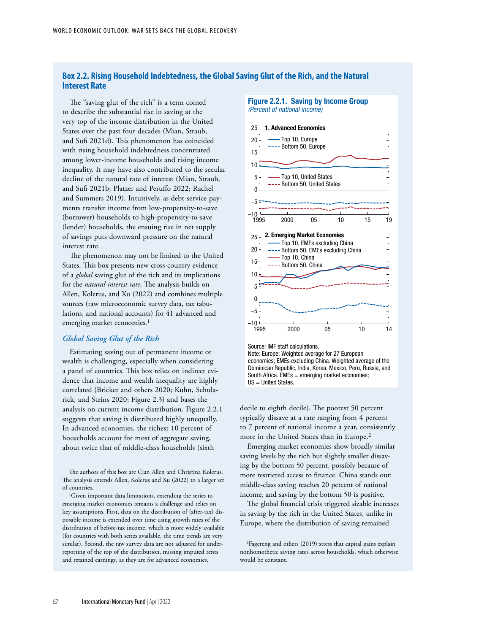# **Box 2.2. Rising Household Indebtedness, the Global Saving Glut of the Rich, and the Natural Interest Rate**

The "saving glut of the rich" is a term coined to describe the substantial rise in saving at the very top of the income distribution in the United States over the past four decades (Mian, Straub, and Sufi 2021d). This phenomenon has coincided with rising household indebtedness concentrated among lower-income households and rising income inequality. It may have also contributed to the secular decline of the natural rate of interest (Mian, Straub, and Sufi 2021b; Platzer and Peruffo 2022; Rachel and Summers 2019). Intuitively, as debt-service payments transfer income from low-propensity-to-save (borrower) households to high-propensity-to-save (lender) households, the ensuing rise in net supply of savings puts downward pressure on the natural interest rate.

The phenomenon may not be limited to the United States. This box presents new cross-country evidence of a *global* saving glut of the rich and its implications for the *natural interest rate*. The analysis builds on Allen, Kolerus, and Xu (2022) and combines multiple sources (raw microeconomic survey data, tax tabulations, and national accounts) for 41 advanced and emerging market economies.<sup>1</sup>

## *Global Saving Glut of the Rich*

Estimating saving out of permanent income or wealth is challenging, especially when considering a panel of countries. This box relies on indirect evidence that income and wealth inequality are highly correlated ([Bricker and others 2020;](https://nam10.safelinks.protection.outlook.com/?url=https%3A%2F%2Fwww.federalreserve.gov%2Feconres%2Fnotes%2Ffeds-notes%2Fwealth-and-income-concentration-in-the-scf-20200928.htm&data=04%7C01%7CJNatal%40imf.org%7C0de2a02ecc8f497d4c6e08d9f00fc4a0%7C8085fa43302e45bdb171a6648c3b6be7%7C0%7C0%7C637804772773604714%7CUnknown%7CTWFpbGZsb3d8eyJWIjoiMC4wLjAwMDAiLCJQIjoiV2luMzIiLCJBTiI6Ik1haWwiLCJXVCI6Mn0%3D%7C3000&sdata=Kyu8Sj0NrDjV6LJ%2Bs7%2B8WFGKeCkIjAgmems0xUM3nrE%3D&reserved=0) [Kuhn, Schula](https://www.journals.uchicago.edu/doi/abs/10.1086/708815?mobileUi=0ii)[rick, and Steins 2020;](https://www.journals.uchicago.edu/doi/abs/10.1086/708815?mobileUi=0ii) Figure 2.3) and bases the analysis on current income distribution. Figure 2.2.1 suggests that saving is distributed highly unequally. In advanced economies, the richest 10 percent of households account for most of aggregate saving, about twice that of middle-class households (sixth

The authors of this box are Cian Allen and Christina Kolerus. The analysis extends Allen, Kolerus and Xu (2022) to a larger set of countries.

<sup>1</sup>Given important data limitations, extending the series to emerging market economies remains a challenge and relies on key assumptions. First, data on the distribution of (after-tax) disposable income is extended over time using growth rates of the distribution of before-tax income, which is more widely available (for countries with both series available, the time trends are very similar). Second, the raw survey data are not adjusted for underreporting of the top of the distribution, missing imputed rents and retained earnings, as they are for advanced economies.

#### Figure 2.2.1. Saving by Income Group *(Percent of national income)*

![](_page_17_Figure_9.jpeg)

Source: IMF staff calculations.

Note: Europe: Weighted average for 27 European economies; EMEs excluding China: Weighted average of the Dominican Republic, India, Korea, Mexico, Peru, Russia, and South Africa. EMEs = emerging market economies; US = United States.

decile to eighth decile). The poorest 50 percent typically dissave at a rate ranging from 4 percent to 7 percent of national income a year, consistently more in the United States than in Europe.<sup>2</sup>

Emerging market economies show broadly similar saving levels by the rich but slightly smaller dissaving by the bottom 50 percent, possibly because of more restricted access to finance. China stands out: middle-class saving reaches 20 percent of national income, and saving by the bottom 50 is positive.

The global financial crisis triggered sizable increases in saving by the rich in the United States, unlike in Europe, where the distribution of saving remained

2Fagereng and others (2019) stress that capital gains explain nonhomothetic saving rates across households, which otherwise would be constant.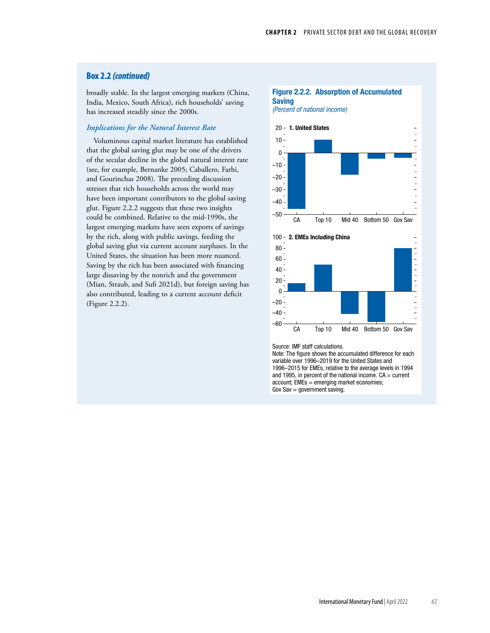# **Box 2.2** *(continued)*

broadly stable. In the largest emerging markets (China, India, Mexico, South Africa), rich households' saving has increased steadily since the 2000s.

## *Implications for the Natural Interest Rate*

Voluminous capital market literature has established that the global saving glut may be one of the drivers of the secular decline in the global natural interest rate (see, for example, Bernanke 2005; Caballero, Farhi, and Gourinchas 2008). The preceding discussion stresses that rich households across the world may have been important contributors to the global saving glut. Figure 2.2.2 suggests that these two insights could be combined. Relative to the mid-1990s, the largest emerging markets have seen exports of savings by the rich, along with public savings, feeding the global saving glut via current account surpluses. In the United States, the situation has been more nuanced. Saving by the rich has been associated with financing large dissaving by the nonrich and the government (Mian, Straub, and Sufi 2021d), but foreign saving has also contributed, leading to a current account deficit (Figure 2.2.2).

## Figure 2.2.2. Absorption of Accumulated Saving

![](_page_18_Figure_6.jpeg)

![](_page_18_Figure_7.jpeg)

Source: IMF staff calculations.

Note: The figure shows the accumulated difference for each variable over 1996–2019 for the United States and 1996–2015 for EMEs, relative to the average levels in 1994 and 1995, in percent of the national income.  $CA = current$ account; EMEs = emerging market economies; Gov  $Sav = government saving$ .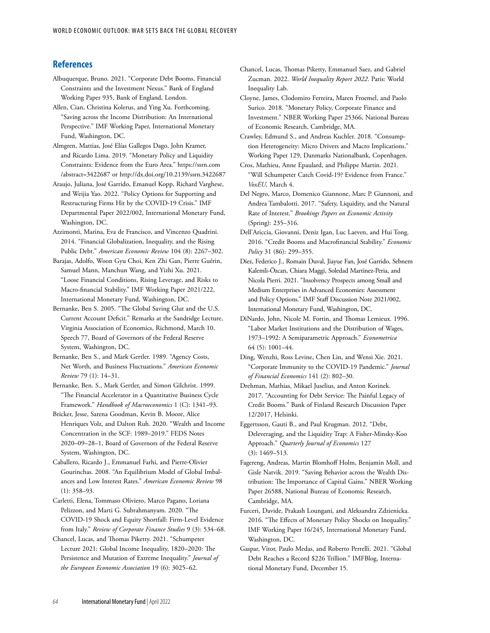# **References**

- Albuquerque, Bruno. 2021. "Corporate Debt Booms, Financial Constraints and the Investment Nexus." Bank of England Working Paper 935, Bank of England, London.
- Allen, Cian, Christina Kolerus, and Ying Xu. Forthcoming. "Saving across the Income Distribution: An International Perspective." IMF Working Paper, International Monetary Fund, Washington, DC.
- Almgren, Mattias, José Elías Gallegos Dago, John Kramer, and Ricardo Lima. 2019. "Monetary Policy and Liquidity Constraints: Evidence from the Euro Area." https://ssrn.com /abstract=3422687 or <http://dx.doi.org/10.2139/ssrn.3422687>
- Araujo, Juliana, José Garrido, Emanuel Kopp, Richard Varghese, and Weijia Yao. 2022. "Policy Options for Supporting and Restructuring Firms Hit by the COVID-19 Crisis." IMF Departmental Paper 2022/002, International Monetary Fund, Washington, DC.
- Azzimonti, Marina, Eva de Francisco, and Vincenzo Quadrini. 2014. "Financial Globalization, Inequality, and the Rising Public Debt." *American Economic Review* 104 (8): 2267–302.
- Barajas, Adolfo, Woon Gyu Choi, Ken Zhi Gan, Pierre Guérin, Samuel Mann, Manchun Wang, and Yizhi Xu. 2021. "Loose Financial Conditions, Rising Leverage, and Risks to Macro-financial Stability." IMF Working Paper 2021/222, International Monetary Fund, Washington, DC.
- Bernanke, Ben S. 2005. "The Global Saving Glut and the U.S. Current Account Deficit." Remarks at the Sandridge Lecture, Virginia Association of Economics, Richmond, March 10. Speech 77, Board of Governors of the Federal Reserve System, Washington, DC.
- Bernanke, Ben S., and Mark Gertler. 1989. "Agency Costs, Net Worth, and Business Fluctuations." *American Economic Review* 79 (1): 14–31.
- Bernanke, Ben. S., Mark Gertler, and Simon Gilchrist. 1999. "The Financial Accelerator in a Quantitative Business Cycle Framework." *Handbook of Macroeconomics* 1 (C): 1341–93.
- Bricker, Jesse, Sarena Goodman, Kevin B. Moore, Alice Henriques Volz, and Dalton Ruh. 2020. "Wealth and Income Concentration in the SCF: 1989–2019." FEDS Notes 2020–09–28–1, Board of Governors of the Federal Reserve System, Washington, DC.
- Caballero, Ricardo J., Emmanuel Farhi, and Pierre-Olivier Gourinchas. 2008. "An Equilibrium Model of Global Imbalances and Low Interest Rates." *American Economic Review* 98 (1): 358–93.
- Carletti, Elena, Tommaso Oliviero, Marco Pagano, Loriana Pelizzon, and Marti G. Subrahmanyam. 2020. "The COVID-19 Shock and Equity Shortfall: Firm-Level Evidence from Italy." *Review of Corporate Finance Studies* 9 (3): 534–68.
- Chancel, Lucas, and Thomas Piketty. 2021. "Schumpeter Lecture 2021: Global Income Inequality, 1820–2020: The Persistence and Mutation of Extreme Inequality." *Journal of the European Economic Association* 19 (6): 3025–62.
- Chancel, Lucas, Thomas Piketty, Emmanuel Saez, and Gabriel Zucman. 2022. *World Inequality Report 2022*. Paris: World Inequality Lab.
- Cloyne, James, Clodomiro Ferreira, Maren Froemel, and Paolo Surico. 2018. "Monetary Policy, Corporate Finance and Investment." NBER Working Paper 25366, National Bureau of Economic Research, Cambridge, MA.
- Crawley, Edmund S., and Andreas Kuchler. 2018. "Consumption Heterogeneity: Micro Drivers and Macro Implications." Working Paper 129, Danmarks Nationalbank, Copenhagen.
- Cros, Mathieu, Anne Epaulard, and Philippe Martin. 2021. "Will Schumpeter Catch Covid-19? Evidence from France." *VoxEU,* March 4.
- Del Negro, Marco, Domenico Giannone, Marc P. Giannoni, and Andrea Tambalotti. 2017. "Safety, Liquidity, and the Natural Rate of Interest." *Brookings Papers on Economic Activity* (Spring): 235–316.
- Dell'Ariccia, Giovanni, Deniz Igan, Luc Laeven, and Hui Tong. 2016. "Credit Booms and Macrofinancial Stability." *Economic Policy* 31 (86): 299–355.
- Díez, Federico J., Romain Duval, Jiayue Fan, José Garrido, Sebnem Kalemli-Özcan, Chiara Maggi, Soledad Martinez-Peria, and Nicola Pierri. 2021. "Insolvency Prospects among Small and Medium Enterprises in Advanced Economies: Assessment and Policy Options." IMF Staff Discussion Note 2021/002, International Monetary Fund, Washington, DC.
- DiNardo, John, Nicole M. Fortin, and Thomas Lemieux. 1996. "Labor Market Institutions and the Distribution of Wages, 1973–1992: A Semiparametric Approach." *Econometrica* 64 (5): 1001–44.
- Ding, Wenzhi, Ross Levine, Chen Lin, and Wensi Xie. 2021. "Corporate Immunity to the COVID-19 Pandemic." *Journal of Financial Economics* 141 (2): 802–30.
- Drehman, Mathias, Mikael Juselius, and Anton Korinek. 2017. "Accounting for Debt Service: The Painful Legacy of Credit Booms." Bank of Finland Research Discussion Paper 12/2017, Helsinki.
- Eggertsson, Gauti B., and Paul Krugman. 2012. "Debt, Deleveraging, and the Liquidity Trap: A Fisher-Minsky-Koo Approach." *Quarterly Journal of Economics* 127 (3): 1469–513.
- Fagereng, Andreas, Martin Blomhoff Holm, Benjamin Moll, and Gisle Natvik. 2019. "Saving Behavior across the Wealth Distribution: The Importance of Capital Gains." NBER Working Paper 26588, National Bureau of Economic Research, Cambridge, MA.
- Furceri, Davide, Prakash Loungani, and Aleksandra Zdzienicka. 2016. "The Effects of Monetary Policy Shocks on Inequality." IMF Working Paper 16/245, International Monetary Fund, Washington, DC.
- Gaspar, Vitor, Paulo Medas, and Roberto Perrelli. 2021. "Global Debt Reaches a Record \$226 Trillion." IMFBlog, International Monetary Fund, December 15.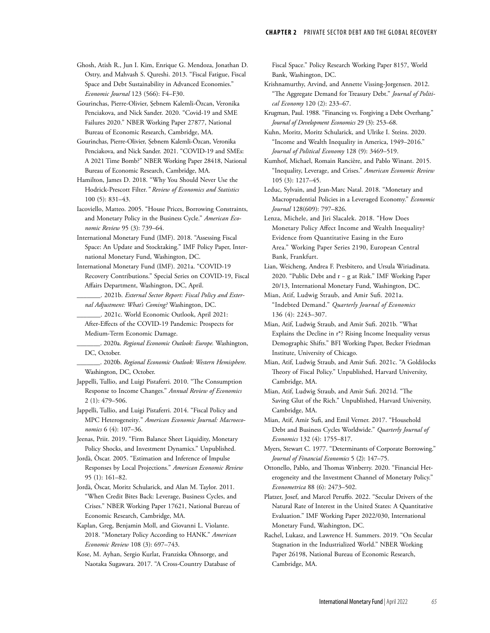Ghosh, Atish R., Jun I. Kim, Enrique G. Mendoza, Jonathan D. Ostry, and Mahvash S. Qureshi. 2013. "Fiscal Fatigue, Fiscal Space and Debt Sustainability in Advanced Economies." *Economic Journal* 123 (566): F4–F30.

Gourinchas, Pierre-Olivier, Şebnem Kalemli-Özcan, Veronika Penciakova, and Nick Sander. 2020. "Covid-19 and SME Failures 2020." NBER Working Paper 27877, National Bureau of Economic Research, Cambridge, MA.

Gourinchas, Pierre-Olivier, Şebnem Kalemli-Özcan, Veronika Penciakova, and Nick Sander. 2021. "COVID-19 and SMEs: A 2021 Time Bomb?" NBER Working Paper 28418, National Bureau of Economic Research, Cambridge, MA.

Hamilton, James D. 2018. "Why You Should Never Use the Hodrick-Prescott Filter*." Review of Economics and Statistics* 100 (5): 831–43.

Iacoviello, Matteo. 2005. "House Prices, Borrowing Constraints, and Monetary Policy in the Business Cycle." *American Economic Review* 95 (3): 739–64.

International Monetary Fund (IMF). 2018. "Assessing Fiscal Space: An Update and Stocktaking." IMF Policy Paper, International Monetary Fund, Washington, DC.

International Monetary Fund (IMF). 2021a. "COVID-19 Recovery Contributions." Special Series on COVID-19, Fiscal Affairs Department, Washington, DC, April.

\_\_\_\_\_\_\_. 2021b. *External Sector Report: Fiscal Policy and External Adjustment: What's Coming?* Washington, DC.

\_\_\_\_\_\_\_. 2021c. World Economic Outlook, April 2021: After-Effects of the COVID-19 Pandemic: Prospects for Medium-Term Economic Damage.

\_\_\_\_\_\_\_. 2020a. *Regional Economic Outlook: Europe.* Washington, DC, October.

\_\_\_\_\_\_\_. 2020b. *Regional Economic Outlook: Western Hemisphere*. Washington, DC, October.

Jappelli, Tullio, and Luigi Pistaferri. 2010. "The Consumption Response to Income Changes." *Annual Review of Economics* 2 (1): 479–506.

Jappelli, Tullio, and Luigi Pistaferri. 2014. "Fiscal Policy and MPC Heterogeneity*.*" *American Economic Journal: Macroeconomics* 6 (4): 107–36.

Jeenas, Priit. 2019. "Firm Balance Sheet Liquidity, Monetary Policy Shocks, and Investment Dynamics." Unpublished.

Jordà, Òscar. 2005. "Estimation and Inference of Impulse Responses by Local Projections." *American Economic Review* 95 (1): 161–82.

Jordà, Òscar, Moritz Schularick, and Alan M. Taylor. 2011. "When Credit Bites Back: Leverage, Business Cycles, and Crises." NBER Working Paper 17621, National Bureau of Economic Research, Cambridge, MA.

Kaplan, Greg, Benjamin Moll, and Giovanni L. Violante. 2018. "Monetary Policy According to HANK." *American Economic Review* 108 (3): 697–743.

Kose, M. Ayhan, Sergio Kurlat, Franziska Ohnsorge, and Naotaka Sugawara. 2017. "A Cross-Country Database of Fiscal Space." Policy Research Working Paper 8157, World Bank, Washington, DC.

Krishnamurthy, Arvind, and Annette Vissing-Jorgensen. 2012. "The Aggregate Demand for Treasury Debt." *Journal of Political Economy* 120 (2): 233–67.

Krugman, Paul. 1988. "Financing vs. Forgiving a Debt Overhang." *Journal of Development Economics* 29 (3): 253–68.

Kuhn, Moritz, Moritz Schularick, and Ulrike I. Steins. 2020. "Income and Wealth Inequality in America, 1949–2016." *Journal of Political Economy* 128 (9): 3469–519.

Kumhof, Michael, Romain Rancière, and Pablo Winant. 2015. "Inequality, Leverage, and Crises." *American Economic Review* 105 (3): 1217–45.

Leduc, Sylvain, and Jean-Marc Natal. 2018. "Monetary and Macroprudential Policies in a Leveraged Economy." *Economic Journal* 128(609): 797–826.

Lenza, Michele, and Jiri Slacalek. 2018. "How Does Monetary Policy Affect Income and Wealth Inequality? Evidence from Quantitative Easing in the Euro Area." Working Paper Series 2190, European Central Bank, Frankfurt.

Lian, Weicheng, Andrea F. Presbitero, and Ursula Wiriadinata. 2020. "Public Debt and r − g at Risk." IMF Working Paper 20/13, International Monetary Fund, Washington, DC.

Mian, Atif, Ludwig Straub, and Amir Sufi. 2021a. "Indebted Demand." *Quarterly Journal of Economics* 136 (4): 2243–307.

Mian, Atif, Ludwig Straub, and Amir Sufi. 2021b. "What Explains the Decline in r\*? Rising Income Inequality versus Demographic Shifts." BFI Working Paper, Becker Friedman Institute, University of Chicago.

Mian, Atif, Ludwig Straub, and Amir Sufi. 2021c. "A Goldilocks Theory of Fiscal Policy." Unpublished, Harvard University, Cambridge, MA.

Mian, Atif, Ludwig Straub, and Amir Sufi. 2021d. "The Saving Glut of the Rich." Unpublished, Harvard University, Cambridge, MA.

Mian, Atif, Amir Sufi, and Emil Verner. 2017. "Household Debt and Business Cycles Worldwide." *Quarterly Journal of Economics* 132 (4): 1755–817.

Myers, Stewart C. 1977. "Determinants of Corporate Borrowing." *Journal of Financial Economics* 5 (2): 147–75.

Ottonello, Pablo, and Thomas Winberry. 2020. "Financial Heterogeneity and the Investment Channel of Monetary Policy." *Econometrica* 88 (6): 2473–502.

Platzer, Josef, and Marcel Peruffo. 2022. "Secular Drivers of the Natural Rate of Interest in the United States: A Quantitative Evaluation." IMF Working Paper 2022/030, International Monetary Fund, Washington, DC.

Rachel, Lukasz, and Lawrence H. Summers. 2019. "On Secular Stagnation in the Industrialized World." NBER Working Paper 26198, National Bureau of Economic Research, Cambridge, MA.